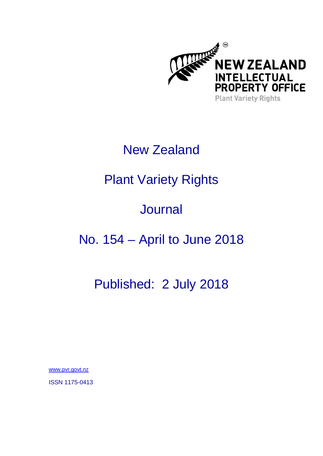

# New Zealand

# Plant Variety Rights

# **Journal**

## No. 154 – April to June 2018

## Published: 2 July 2018

[www.pvr.govt.nz](https://www.iponz.govt.nz/about-ip/pvr/)

ISSN 1175-0413